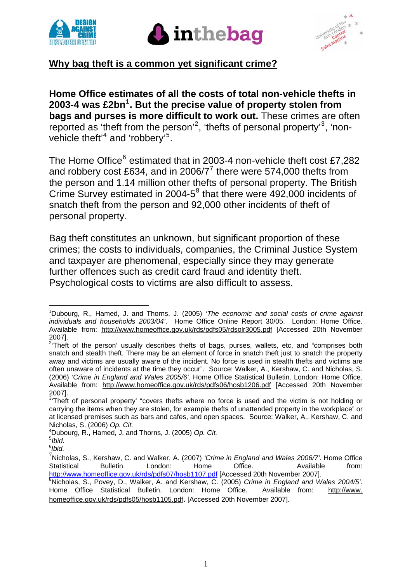





## **Why bag theft is a common yet significant crime?**

**Home Office estimates of all the costs of total non-vehicle thefts in 2003-4 was £2bn[1](#page-0-0) . But the precise value of property stolen from bags and purses is more difficult to work out.** These crimes are often reported as 'theft from the person'<sup>[2](#page-0-1)</sup>, 'thefts of personal property'<sup>[3](#page-0-2)</sup>, 'nonvehicle theft<sup> $4$ </sup> and 'robbery'<sup>[5](#page-0-4)</sup>.

The Home Office<sup>[6](#page-0-5)</sup> estimated that in 2003-4 non-vehicle theft cost £7,282 and robbery cost £634, and in 2006/[7](#page-0-6)<sup>7</sup> there were 574,000 thefts from the person and 1.14 million other thefts of personal property. The British Crime Survey estimated in 2004- $5^8$  $5^8$  that there were 492,000 incidents of snatch theft from the person and 92,000 other incidents of theft of personal property.

Bag theft constitutes an unknown, but significant proportion of these crimes; the costs to individuals, companies, the Criminal Justice System and taxpayer are phenomenal, especially since they may generate further offences such as credit card fraud and identity theft. Psychological costs to victims are also difficult to assess.

<span id="page-0-0"></span> 1 Dubourg, R., Hamed, J. and Thorns, J. (2005) *'The economic and social costs of crime against individuals and households 2003/04'*. Home Office Online Report 30/05. London: Home Office. Available from: <http://www.homeoffice.gov.uk/rds/pdfs05/rdsolr3005.pdf>[Accessed 20th November 2007].

<span id="page-0-1"></span><sup>&</sup>lt;sup>2</sup>Theft of the person' usually describes thefts of bags, purses, wallets, etc, and "comprises both snatch and stealth theft. There may be an element of force in snatch theft just to snatch the property away and victims are usually aware of the incident. No force is used in stealth thefts and victims are often unaware of incidents at the time they occur". Source: Walker, A., Kershaw, C. and Nicholas, S. (2006) *'Crime in England and Wales 2005/6'*. Home Office Statistical Bulletin. London: Home Office. Available from: <http://www.homeoffice.gov.uk/rds/pdfs06/hosb1206.pdf>[Accessed 20th November 2007].

<span id="page-0-2"></span> $3$ <sup>Theft</sup> of personal property' "covers thefts where no force is used and the victim is not holding or carrying the items when they are stolen, for example thefts of unattended property in the workplace" or at licensed premises such as bars and cafes, and open spaces. Source: Walker, A., Kershaw, C. and Nicholas, S. (2006) *Op. Cit.* <sup>4</sup>

<span id="page-0-3"></span>Dubourg, R., Hamed, J. and Thorns, J. (2005) *Op. Cit.* 

<span id="page-0-4"></span><sup>5</sup> *Ibid.*

<span id="page-0-5"></span><sup>6</sup> *Ibid.*

<span id="page-0-6"></span><sup>7</sup> Nicholas, S., Kershaw, C. and Walker, A. (2007) *'Crime in England and Wales 2006/7'*. Home Office Statistical Bulletin. London: Home Office. Available from: <http://www.homeoffice.gov.uk/rds/pdfs07/hosb1107.pdf> [Accessed 20th November 2007].

<span id="page-0-7"></span>Nicholas, S., Povey, D., Walker, A. and Kershaw, C. (2005) *Crime in England and Wales 2004/5'*. Home Office Statistical Bulletin. London: Home Office. Available from: [http://www](http://www/). homeoffice.gov.uk/rds/pdfs05/hosb1105.pdf. [Accessed 20th November 2007].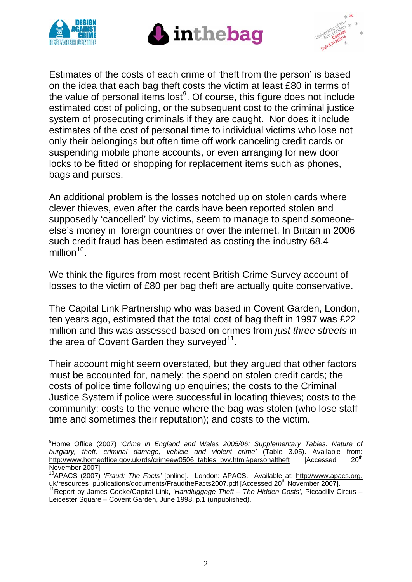





Estimates of the costs of each crime of 'theft from the person' is based on the idea that each bag theft costs the victim at least £80 in terms of the value of personal items lost $9$ . Of course, this figure does not include estimated cost of policing, or the subsequent cost to the criminal justice system of prosecuting criminals if they are caught. Nor does it include estimates of the cost of personal time to individual victims who lose not only their belongings but often time off work canceling credit cards or suspending mobile phone accounts, or even arranging for new door locks to be fitted or shopping for replacement items such as phones, bags and purses.

An additional problem is the losses notched up on stolen cards where clever thieves, even after the cards have been reported stolen and supposedly 'cancelled' by victims, seem to manage to spend someoneelse's money in foreign countries or over the internet. In Britain in 2006 such credit fraud has been estimated as costing the industry 68.4 million $10<sub>10</sub>$  $10<sub>10</sub>$ .

We think the figures from most recent British Crime Survey account of losses to the victim of £80 per bag theft are actually quite conservative.

The Capital Link Partnership who was based in Covent Garden, London, ten years ago, estimated that the total cost of bag theft in 1997 was £22 million and this was assessed based on crimes from *just three streets* in the area of Covent Garden they surveyed $11$ .

Their account might seem overstated, but they argued that other factors must be accounted for, namely: the spend on stolen credit cards; the costs of police time following up enquiries; the costs to the Criminal Justice System if police were successful in locating thieves; costs to the community; costs to the venue where the bag was stolen (who lose staff time and sometimes their reputation); and costs to the victim.

<span id="page-1-0"></span><sup>1</sup> 9 Home Office (2007) *'Crime in England and Wales 2005/06: Supplementary Tables: Nature of*  burglary, theft, criminal damage, vehicle and violent crime' (Table 3.05). Available from:<br>http://www.homeoffice.gov.uk/rds/crimeew0506.tables.byv.html#personaltheft [Accessed 20<sup>th</sup>] http://www.homeoffice.gov.uk/rds/crimeew0506\_tables\_bvv.html#personaltheft [Accessed November 2007]

<span id="page-1-1"></span><sup>10</sup>APACS (2007) *'Fraud: The Facts'* [online]. London: APACS. Available at: http://www.apacs.org. uk/resources\_publications/documents/FraudtheFacts2007.pdf [Accessed 20<sup>th</sup> November 2007].<br><sup>11</sup>Report by James Cooke/Capital Link, *'Handluggage Theft – The Hidden Costs'*, Piccadilly Circus –

<span id="page-1-2"></span>Leicester Square – Covent Garden, June 1998, p.1 (unpublished).